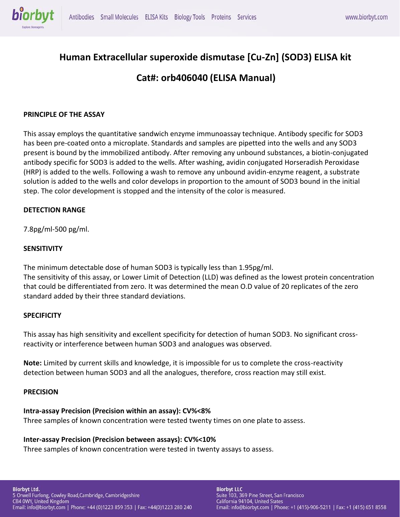

# **Human Extracellular superoxide dismutase [Cu-Zn] (SOD3) ELISA kit Cat#: orb406040 (ELISA Manual)**

### **PRINCIPLE OF THE ASSAY**

This assay employs the quantitative sandwich enzyme immunoassay technique. Antibody specific for SOD3 has been pre-coated onto a microplate. Standards and samples are pipetted into the wells and any SOD3 present is bound by the immobilized antibody. After removing any unbound substances, a biotin-conjugated antibody specific for SOD3 is added to the wells. After washing, avidin conjugated Horseradish Peroxidase (HRP) is added to the wells. Following a wash to remove any unbound avidin-enzyme reagent, a substrate solution is added to the wells and color develops in proportion to the amount of SOD3 bound in the initial step. The color development is stopped and the intensity of the color is measured.

### **DETECTION RANGE**

7.8pg/ml-500 pg/ml.

### **SENSITIVITY**

The minimum detectable dose of human SOD3 is typically less than 1.95pg/ml. The sensitivity of this assay, or Lower Limit of Detection (LLD) was defined as the lowest protein concentration that could be differentiated from zero. It was determined the mean O.D value of 20 replicates of the zero standard added by their three standard deviations.

### **SPECIFICITY**

This assay has high sensitivity and excellent specificity for detection of human SOD3. No significant crossreactivity or interference between human SOD3 and analogues was observed.

**Note:** Limited by current skills and knowledge, it is impossible for us to complete the cross-reactivity detection between human SOD3 and all the analogues, therefore, cross reaction may still exist.

#### **PRECISION**

### **Intra-assay Precision (Precision within an assay): CV%<8%**

Three samples of known concentration were tested twenty times on one plate to assess.

### **Inter-assay Precision (Precision between assays): CV%<10%**

Three samples of known concentration were tested in twenty assays to assess.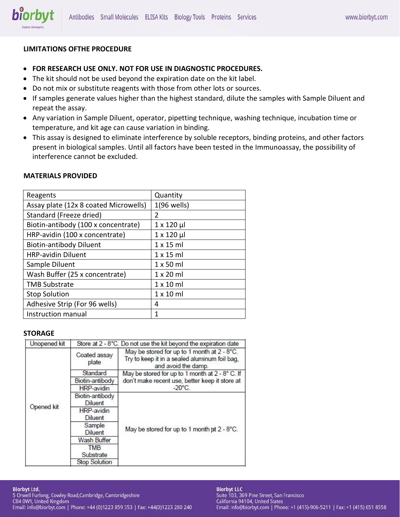

### **LIMITATIONS OFTHE PROCEDURE**

- **FOR RESEARCH USE ONLY. NOT FOR USE IN DIAGNOSTIC PROCEDURES.**
- The kit should not be used beyond the expiration date on the kit label.
- Do not mix or substitute reagents with those from other lots or sources.
- If samples generate values higher than the highest standard, dilute the samples with Sample Diluent and repeat the assay.
- Any variation in Sample Diluent, operator, pipetting technique, washing technique, incubation time or temperature, and kit age can cause variation in binding.
- This assay is designed to eliminate interference by soluble receptors, binding proteins, and other factors present in biological samples. Until all factors have been tested in the Immunoassay, the possibility of interference cannot be excluded.

| Reagents                              | Quantity           |  |  |
|---------------------------------------|--------------------|--|--|
| Assay plate (12x 8 coated Microwells) | $1(96$ wells)      |  |  |
| Standard (Freeze dried)               | 2                  |  |  |
| Biotin-antibody (100 x concentrate)   | $1 \times 120 \mu$ |  |  |
| HRP-avidin (100 x concentrate)        | 1 x 120 µl         |  |  |
| <b>Biotin-antibody Diluent</b>        | $1 \times 15$ ml   |  |  |
| <b>HRP-avidin Diluent</b>             | $1 \times 15$ ml   |  |  |
| Sample Diluent                        | $1 \times 50$ ml   |  |  |
| Wash Buffer (25 x concentrate)        | $1 \times 20$ ml   |  |  |
| <b>TMB Substrate</b>                  | $1 \times 10$ ml   |  |  |
| <b>Stop Solution</b>                  | $1 \times 10$ ml   |  |  |
| Adhesive Strip (For 96 wells)         | 4                  |  |  |
| Instruction manual                    | 1                  |  |  |

### **MATERIALS PROVIDED**

### **STORAGE**

| Unopened kit | Store at 2 - 8°C. Do not use the kit beyond the expiration date |                                                                                                                     |  |  |  |
|--------------|-----------------------------------------------------------------|---------------------------------------------------------------------------------------------------------------------|--|--|--|
| Opened kit   | Coated assay<br>plate                                           | May be stored for up to 1 month at 2 - 8°C.<br>Try to keep it in a sealed aluminum foil bag,<br>and avoid the damp. |  |  |  |
|              | Standard                                                        | May be stored for up to 1 month at 2 - 8° C. If                                                                     |  |  |  |
|              | Biotin-antibody                                                 | don't make recent use, better keep it store at                                                                      |  |  |  |
|              | HRP-avidin                                                      | $-20^{\circ}$ C.                                                                                                    |  |  |  |
|              | Biotin-antibody<br><b>Diluent</b>                               |                                                                                                                     |  |  |  |
|              | HRP-avidin                                                      |                                                                                                                     |  |  |  |
|              | Diluent                                                         |                                                                                                                     |  |  |  |
|              | Sample<br><b>Diluent</b>                                        | May be stored for up to 1 month at 2 - 8°C.                                                                         |  |  |  |
|              | Wash Buffer                                                     |                                                                                                                     |  |  |  |
|              | <b>TMB</b>                                                      |                                                                                                                     |  |  |  |
|              | Substrate                                                       |                                                                                                                     |  |  |  |
|              | <b>Stop Solution</b>                                            |                                                                                                                     |  |  |  |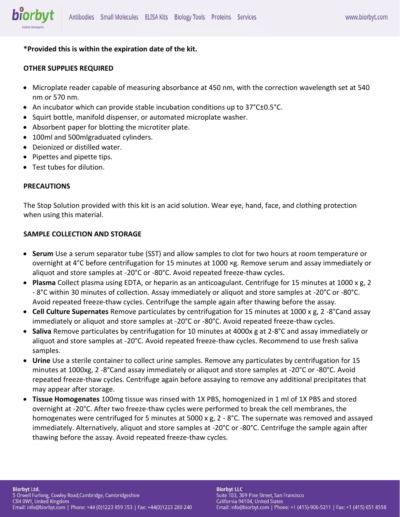# **\*Provided this is within the expiration date of the kit.**

# **OTHER SUPPLIES REQUIRED**

biorbyt

- Microplate reader capable of measuring absorbance at 450 nm, with the correction wavelength set at 540 nm or 570 nm.
- An incubator which can provide stable incubation conditions up to 37°C±0.5°C.
- Squirt bottle, manifold dispenser, or automated microplate washer.
- Absorbent paper for blotting the microtiter plate.
- 100ml and 500mlgraduated cylinders.
- Deionized or distilled water.
- Pipettes and pipette tips.
- Test tubes for dilution.

# **PRECAUTIONS**

The Stop Solution provided with this kit is an acid solution. Wear eye, hand, face, and clothing protection when using this material.

# **SAMPLE COLLECTION AND STORAGE**

- **Serum** Use a serum separator tube (SST) and allow samples to clot for two hours at room temperature or overnight at 4°C before centrifugation for 15 minutes at 1000 ×g. Remove serum and assay immediately or aliquot and store samples at -20°C or -80°C. Avoid repeated freeze-thaw cycles.
- **Plasma** Collect plasma using EDTA, or heparin as an anticoagulant. Centrifuge for 15 minutes at 1000 x g, 2 - 8°C within 30 minutes of collection. Assay immediately or aliquot and store samples at -20°C or -80°C. Avoid repeated freeze-thaw cycles. Centrifuge the sample again after thawing before the assay.
- **Cell Culture Supernates** Remove particulates by centrifugation for 15 minutes at 1000 x g, 2 -8°Cand assay immediately or aliquot and store samples at -20°C or -80°C. Avoid repeated freeze-thaw cycles.
- **Saliva** Remove particulates by centrifugation for 10 minutes at 4000x g at 2-8°C and assay immediately or aliquot and store samples at -20°C. Avoid repeated freeze-thaw cycles. Recommend to use fresh saliva samples.
- **Urine** Use a sterile container to collect urine samples. Remove any particulates by centrifugation for 15 minutes at 1000xg, 2 -8°Cand assay immediately or aliquot and store samples at -20°C or -80°C. Avoid repeated freeze-thaw cycles. Centrifuge again before assaying to remove any additional precipitates that may appear after storage.
- **Tissue Homogenates** 100mg tissue was rinsed with 1X PBS, homogenized in 1 ml of 1X PBS and stored overnight at -20°C. After two freeze-thaw cycles were performed to break the cell membranes, the homogenates were centrifuged for 5 minutes at 5000 x g, 2 - 8°C. The supernate was removed and assayed immediately. Alternatively, aliquot and store samples at -20°C or -80°C. Centrifuge the sample again after thawing before the assay. Avoid repeated freeze-thaw cycles.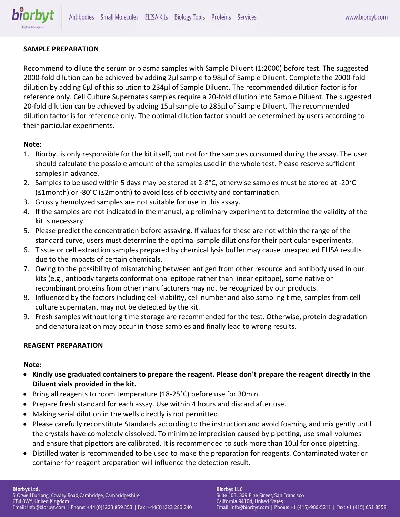### **SAMPLE PREPARATION**

Recommend to dilute the serum or plasma samples with Sample Diluent (1:2000) before test. The suggested 2000-fold dilution can be achieved by adding 2μl sample to 98μl of Sample Diluent. Complete the 2000-fold dilution by adding 6μl of this solution to 234μl of Sample Diluent. The recommended dilution factor is for reference only. Cell Culture Supernates samples require a 20-fold dilution into Sample Diluent. The suggested 20-fold dilution can be achieved by adding 15μl sample to 285μl of Sample Diluent. The recommended dilution factor is for reference only. The optimal dilution factor should be determined by users according to their particular experiments.

### **Note:**

- 1. Biorbyt is only responsible for the kit itself, but not for the samples consumed during the assay. The user should calculate the possible amount of the samples used in the whole test. Please reserve sufficient samples in advance.
- 2. Samples to be used within 5 days may be stored at 2-8°C, otherwise samples must be stored at -20°C (≤1month) or -80°C (≤2month) to avoid loss of bioactivity and contamination.
- 3. Grossly hemolyzed samples are not suitable for use in this assay.
- 4. If the samples are not indicated in the manual, a preliminary experiment to determine the validity of the kit is necessary.
- 5. Please predict the concentration before assaying. If values for these are not within the range of the standard curve, users must determine the optimal sample dilutions for their particular experiments.
- 6. Tissue or cell extraction samples prepared by chemical lysis buffer may cause unexpected ELISA results due to the impacts of certain chemicals.
- 7. Owing to the possibility of mismatching between antigen from other resource and antibody used in our kits (e.g., antibody targets conformational epitope rather than linear epitope), some native or recombinant proteins from other manufacturers may not be recognized by our products.
- 8. Influenced by the factors including cell viability, cell number and also sampling time, samples from cell culture supernatant may not be detected by the kit.
- 9. Fresh samples without long time storage are recommended for the test. Otherwise, protein degradation and denaturalization may occur in those samples and finally lead to wrong results.

### **REAGENT PREPARATION**

### **Note:**

- **Kindly use graduated containers to prepare the reagent. Please don't prepare the reagent directly in the Diluent vials provided in the kit.**
- Bring all reagents to room temperature (18-25°C) before use for 30min.
- Prepare fresh standard for each assay. Use within 4 hours and discard after use.
- Making serial dilution in the wells directly is not permitted.
- Please carefully reconstitute Standards according to the instruction and avoid foaming and mix gently until the crystals have completely dissolved. To minimize imprecision caused by pipetting, use small volumes and ensure that pipettors are calibrated. It is recommended to suck more than 10μl for once pipetting.
- Distilled water is recommended to be used to make the preparation for reagents. Contaminated water or container for reagent preparation will influence the detection result.

#### **Biorbyt Ltd.**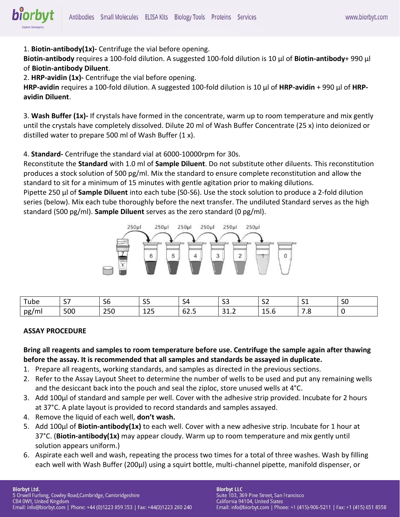1. **Biotin-antibody(1x)-** Centrifuge the vial before opening.

**Biotin-antibody** requires a 100-fold dilution. A suggested 100-fold dilution is 10 μl of **Biotin-antibody**+ 990 μl of **Biotin-antibody Diluent**.

2. **HRP-avidin (1x)-** Centrifuge the vial before opening.

**HRP-avidin** requires a 100-fold dilution. A suggested 100-fold dilution is 10 μl of **HRP-avidin** + 990 μl of **HRPavidin Diluent**.

3. **Wash Buffer (1x)-** If crystals have formed in the concentrate, warm up to room temperature and mix gently until the crystals have completely dissolved. Dilute 20 ml of Wash Buffer Concentrate (25 x) into deionized or distilled water to prepare 500 ml of Wash Buffer (1 x).

4. **Standard-** Centrifuge the standard vial at 6000-10000rpm for 30s.

Reconstitute the **Standard** with 1.0 ml of **Sample Diluent**. Do not substitute other diluents. This reconstitution produces a stock solution of 500 pg/ml. Mix the standard to ensure complete reconstitution and allow the standard to sit for a minimum of 15 minutes with gentle agitation prior to making dilutions.

Pipette 250 μl of **Sample Diluent** into each tube (S0-S6). Use the stock solution to produce a 2-fold dilution series (below). Mix each tube thoroughly before the next transfer. The undiluted Standard serves as the high standard (500 pg/ml). **Sample Diluent** serves as the zero standard (0 pg/ml).



| $\overline{\phantom{a}}$<br>īube | $\sim$ $\sim$ | --<br>υc                         | $\sim$ $\sim$<br>ັ  | ء.                 | $\sim$<br>--       | --<br>ັ                   | -<br>- -                       | --<br>υc |
|----------------------------------|---------------|----------------------------------|---------------------|--------------------|--------------------|---------------------------|--------------------------------|----------|
| pg,<br>$\mathsf{m}$              | 500           | $\mathbf{a} = \mathbf{a}$<br>ZJU | $\sim$ $\sim$<br>ᅩᅩ | --<br>62.S<br>$ -$ | .<br>$\sim$ $\sim$ | . .<br><b>JJ.V</b><br>___ | $\ddot{\phantom{0}}$<br>$\sim$ |          |

### **ASSAY PROCEDURE**

**Bring all reagents and samples to room temperature before use. Centrifuge the sample again after thawing before the assay. It is recommended that all samples and standards be assayed in duplicate.** 

- 1. Prepare all reagents, working standards, and samples as directed in the previous sections.
- 2. Refer to the Assay Layout Sheet to determine the number of wells to be used and put any remaining wells and the desiccant back into the pouch and seal the ziploc, store unused wells at 4°C.
- 3. Add 100μl of standard and sample per well. Cover with the adhesive strip provided. Incubate for 2 hours at 37°C. A plate layout is provided to record standards and samples assayed.
- 4. Remove the liquid of each well, **don't wash.**
- 5. Add 100μl of **Biotin-antibody(1x)** to each well. Cover with a new adhesive strip. Incubate for 1 hour at 37°C. (**Biotin-antibody(1x)** may appear cloudy. Warm up to room temperature and mix gently until solution appears uniform.)
- 6. Aspirate each well and wash, repeating the process two times for a total of three washes. Wash by filling each well with Wash Buffer (200μl) using a squirt bottle, multi-channel pipette, manifold dispenser, or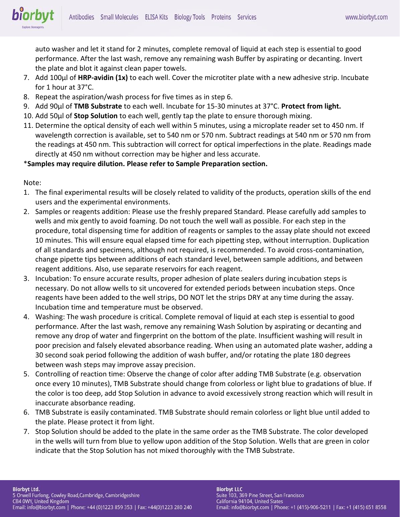auto washer and let it stand for 2 minutes, complete removal of liquid at each step is essential to good performance. After the last wash, remove any remaining wash Buffer by aspirating or decanting. Invert the plate and blot it against clean paper towels.

- 7. Add 100μl of **HRP-avidin (1x)** to each well. Cover the microtiter plate with a new adhesive strip. Incubate for 1 hour at 37°C.
- 8. Repeat the aspiration/wash process for five times as in step 6.
- 9. Add 90μl of **TMB Substrate** to each well. Incubate for 15-30 minutes at 37°C. **Protect from light.**
- 10. Add 50μl of **Stop Solution** to each well, gently tap the plate to ensure thorough mixing.
- 11. Determine the optical density of each well within 5 minutes, using a microplate reader set to 450 nm. If wavelength correction is available, set to 540 nm or 570 nm. Subtract readings at 540 nm or 570 nm from the readings at 450 nm. This subtraction will correct for optical imperfections in the plate. Readings made directly at 450 nm without correction may be higher and less accurate.

### \***Samples may require dilution. Please refer to Sample Preparation section.**

Note:

biorbyt

- 1. The final experimental results will be closely related to validity of the products, operation skills of the end users and the experimental environments.
- 2. Samples or reagents addition: Please use the freshly prepared Standard. Please carefully add samples to wells and mix gently to avoid foaming. Do not touch the well wall as possible. For each step in the procedure, total dispensing time for addition of reagents or samples to the assay plate should not exceed 10 minutes. This will ensure equal elapsed time for each pipetting step, without interruption. Duplication of all standards and specimens, although not required, is recommended. To avoid cross-contamination, change pipette tips between additions of each standard level, between sample additions, and between reagent additions. Also, use separate reservoirs for each reagent.
- 3. Incubation: To ensure accurate results, proper adhesion of plate sealers during incubation steps is necessary. Do not allow wells to sit uncovered for extended periods between incubation steps. Once reagents have been added to the well strips, DO NOT let the strips DRY at any time during the assay. Incubation time and temperature must be observed.
- 4. Washing: The wash procedure is critical. Complete removal of liquid at each step is essential to good performance. After the last wash, remove any remaining Wash Solution by aspirating or decanting and remove any drop of water and fingerprint on the bottom of the plate. Insufficient washing will result in poor precision and falsely elevated absorbance reading. When using an automated plate washer, adding a 30 second soak period following the addition of wash buffer, and/or rotating the plate 180 degrees between wash steps may improve assay precision.
- 5. Controlling of reaction time: Observe the change of color after adding TMB Substrate (e.g. observation once every 10 minutes), TMB Substrate should change from colorless or light blue to gradations of blue. If the color is too deep, add Stop Solution in advance to avoid excessively strong reaction which will result in inaccurate absorbance reading.
- 6. TMB Substrate is easily contaminated. TMB Substrate should remain colorless or light blue until added to the plate. Please protect it from light.
- 7. Stop Solution should be added to the plate in the same order as the TMB Substrate. The color developed in the wells will turn from blue to yellow upon addition of the Stop Solution. Wells that are green in color indicate that the Stop Solution has not mixed thoroughly with the TMB Substrate.